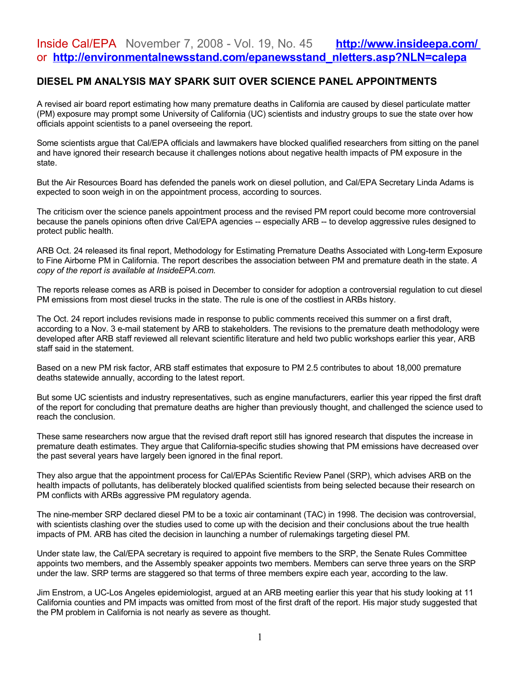## Inside Cal/EPA November 7, 2008 - Vol. 19, No. 45 **<http://www.insideepa.com/>** or **[http://environmentalnewsstand.com/epanewsstand\\_nletters.asp?NLN=calepa](http://environmentalnewsstand.com/epanewsstand_nletters.asp?NLN=calepa)**

## **DIESEL PM ANALYSIS MAY SPARK SUIT OVER SCIENCE PANEL APPOINTMENTS**

A revised air board report estimating how many premature deaths in California are caused by diesel particulate matter (PM) exposure may prompt some University of California (UC) scientists and industry groups to sue the state over how officials appoint scientists to a panel overseeing the report.

Some scientists argue that Cal/EPA officials and lawmakers have blocked qualified researchers from sitting on the panel and have ignored their research because it challenges notions about negative health impacts of PM exposure in the state.

But the Air Resources Board has defended the panels work on diesel pollution, and Cal/EPA Secretary Linda Adams is expected to soon weigh in on the appointment process, according to sources.

The criticism over the science panels appointment process and the revised PM report could become more controversial because the panels opinions often drive Cal/EPA agencies -- especially ARB -- to develop aggressive rules designed to protect public health.

ARB Oct. 24 released its final report, Methodology for Estimating Premature Deaths Associated with Long-term Exposure to Fine Airborne PM in California. The report describes the association between PM and premature death in the state. *A copy of the report is available at InsideEPA.com.*

The reports release comes as ARB is poised in December to consider for adoption a controversial regulation to cut diesel PM emissions from most diesel trucks in the state. The rule is one of the costliest in ARBs history.

The Oct. 24 report includes revisions made in response to public comments received this summer on a first draft, according to a Nov. 3 e-mail statement by ARB to stakeholders. The revisions to the premature death methodology were developed after ARB staff reviewed all relevant scientific literature and held two public workshops earlier this year, ARB staff said in the statement.

Based on a new PM risk factor, ARB staff estimates that exposure to PM 2.5 contributes to about 18,000 premature deaths statewide annually, according to the latest report.

But some UC scientists and industry representatives, such as engine manufacturers, earlier this year ripped the first draft of the report for concluding that premature deaths are higher than previously thought, and challenged the science used to reach the conclusion.

These same researchers now argue that the revised draft report still has ignored research that disputes the increase in premature death estimates. They argue that California-specific studies showing that PM emissions have decreased over the past several years have largely been ignored in the final report.

They also argue that the appointment process for Cal/EPAs Scientific Review Panel (SRP), which advises ARB on the health impacts of pollutants, has deliberately blocked qualified scientists from being selected because their research on PM conflicts with ARBs aggressive PM regulatory agenda.

The nine-member SRP declared diesel PM to be a toxic air contaminant (TAC) in 1998. The decision was controversial, with scientists clashing over the studies used to come up with the decision and their conclusions about the true health impacts of PM. ARB has cited the decision in launching a number of rulemakings targeting diesel PM.

Under state law, the Cal/EPA secretary is required to appoint five members to the SRP, the Senate Rules Committee appoints two members, and the Assembly speaker appoints two members. Members can serve three years on the SRP under the law. SRP terms are staggered so that terms of three members expire each year, according to the law.

Jim Enstrom, a UC-Los Angeles epidemiologist, argued at an ARB meeting earlier this year that his study looking at 11 California counties and PM impacts was omitted from most of the first draft of the report. His major study suggested that the PM problem in California is not nearly as severe as thought.